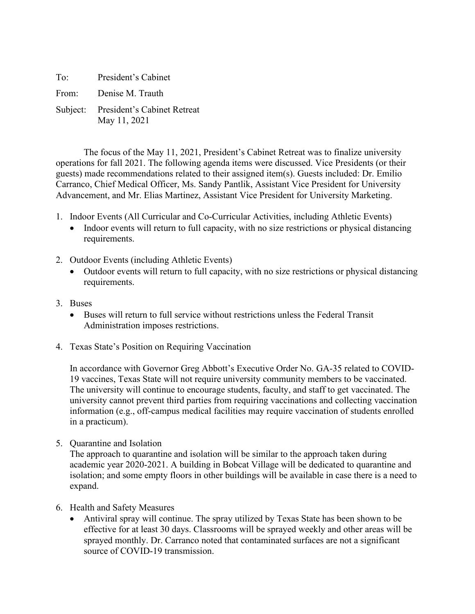| To: | President's Cabinet                                  |
|-----|------------------------------------------------------|
|     | From: Denise M. Trauth                               |
|     | Subject: President's Cabinet Retreat<br>May 11, 2021 |

The focus of the May 11, 2021, President's Cabinet Retreat was to finalize university operations for fall 2021. The following agenda items were discussed. Vice Presidents (or their guests) made recommendations related to their assigned item(s). Guests included: Dr. Emilio Carranco, Chief Medical Officer, Ms. Sandy Pantlik, Assistant Vice President for University Advancement, and Mr. Elias Martinez, Assistant Vice President for University Marketing.

- 1. Indoor Events (All Curricular and Co-Curricular Activities, including Athletic Events)
	- Indoor events will return to full capacity, with no size restrictions or physical distancing requirements.
- 2. Outdoor Events (including Athletic Events)
	- Outdoor events will return to full capacity, with no size restrictions or physical distancing requirements.
- 3. Buses
	- Buses will return to full service without restrictions unless the Federal Transit Administration imposes restrictions.
- 4. Texas State's Position on Requiring Vaccination

In accordance with Governor Greg Abbott's Executive Order No. GA-35 related to COVID-19 vaccines, Texas State will not require university community members to be vaccinated. The university will continue to encourage students, faculty, and staff to get vaccinated. The university cannot prevent third parties from requiring vaccinations and collecting vaccination information (e.g., off-campus medical facilities may require vaccination of students enrolled in a practicum).

5. Quarantine and Isolation

The approach to quarantine and isolation will be similar to the approach taken during academic year 2020-2021. A building in Bobcat Village will be dedicated to quarantine and isolation; and some empty floors in other buildings will be available in case there is a need to expand.

- 6. Health and Safety Measures
	- Antiviral spray will continue. The spray utilized by Texas State has been shown to be effective for at least 30 days. Classrooms will be sprayed weekly and other areas will be sprayed monthly. Dr. Carranco noted that contaminated surfaces are not a significant source of COVID-19 transmission.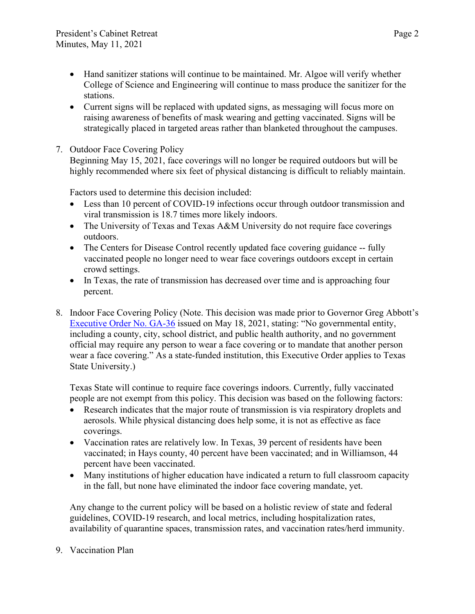- Hand sanitizer stations will continue to be maintained. Mr. Algoe will verify whether College of Science and Engineering will continue to mass produce the sanitizer for the stations.
- Current signs will be replaced with updated signs, as messaging will focus more on raising awareness of benefits of mask wearing and getting vaccinated. Signs will be strategically placed in targeted areas rather than blanketed throughout the campuses.
- 7. Outdoor Face Covering Policy

Beginning May 15, 2021, face coverings will no longer be required outdoors but will be highly recommended where six feet of physical distancing is difficult to reliably maintain.

Factors used to determine this decision included:

- Less than 10 percent of COVID-19 infections occur through outdoor transmission and viral transmission is 18.7 times more likely indoors.
- The University of Texas and Texas A&M University do not require face coverings outdoors.
- The Centers for Disease Control recently updated face covering guidance -- fully vaccinated people no longer need to wear face coverings outdoors except in certain crowd settings.
- In Texas, the rate of transmission has decreased over time and is approaching four percent.
- 8. Indoor Face Covering Policy (Note. This decision was made prior to Governor Greg Abbott's [Executive Order No.](https://nam04.safelinks.protection.outlook.com/?url=https%3A%2F%2Fgov.texas.gov%2Fuploads%2Ffiles%2Fpress%2FEO-GA-36_prohibition_on_mandating_face_coverings_response_to_COVID-19_disaster_IMAGE_05-18-2021.pdf&data=04%7C01%7CLisaLloyd%40txstate.edu%7Ce5b9ff1491f44093d2aa08d91ad1c87c%7Cb19c134a14c94d4caf65c420f94c8cbb%7C0%7C0%7C637570310976639766%7CUnknown%7CTWFpbGZsb3d8eyJWIjoiMC4wLjAwMDAiLCJQIjoiV2luMzIiLCJBTiI6Ik1haWwiLCJXVCI6Mn0%3D%7C1000&sdata=C2%2FJCVk%2Bdy%2B1EyVjdGPW9UDsGcn4ZHB0yKz8AsaJrTE%3D&reserved=0) GA-36 issued on May 18, 2021, stating: "No governmental entity, including a county, city, school district, and public health authority, and no government official may require any person to wear a face covering or to mandate that another person wear a face covering." As a state-funded institution, this Executive Order applies to Texas State University.)

Texas State will continue to require face coverings indoors. Currently, fully vaccinated people are not exempt from this policy. This decision was based on the following factors:

- Research indicates that the major route of transmission is via respiratory droplets and aerosols. While physical distancing does help some, it is not as effective as face coverings.
- Vaccination rates are relatively low. In Texas, 39 percent of residents have been vaccinated; in Hays county, 40 percent have been vaccinated; and in Williamson, 44 percent have been vaccinated.
- Many institutions of higher education have indicated a return to full classroom capacity in the fall, but none have eliminated the indoor face covering mandate, yet.

Any change to the current policy will be based on a holistic review of state and federal guidelines, COVID-19 research, and local metrics, including hospitalization rates, availability of quarantine spaces, transmission rates, and vaccination rates/herd immunity.

9. Vaccination Plan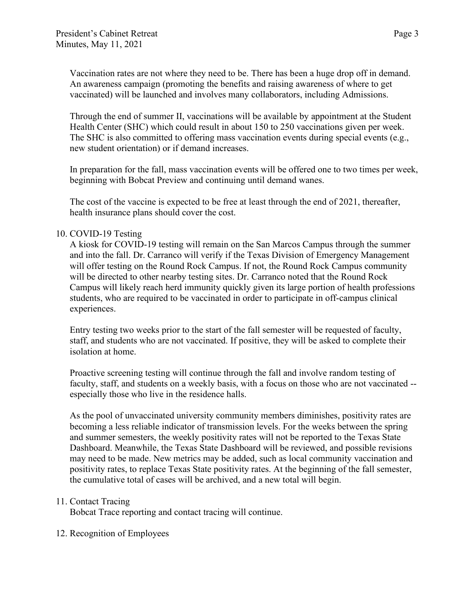Vaccination rates are not where they need to be. There has been a huge drop off in demand. An awareness campaign (promoting the benefits and raising awareness of where to get vaccinated) will be launched and involves many collaborators, including Admissions.

Through the end of summer II, vaccinations will be available by appointment at the Student Health Center (SHC) which could result in about 150 to 250 vaccinations given per week. The SHC is also committed to offering mass vaccination events during special events (e.g., new student orientation) or if demand increases.

In preparation for the fall, mass vaccination events will be offered one to two times per week, beginning with Bobcat Preview and continuing until demand wanes.

The cost of the vaccine is expected to be free at least through the end of 2021, thereafter, health insurance plans should cover the cost.

## 10. COVID-19 Testing

A kiosk for COVID-19 testing will remain on the San Marcos Campus through the summer and into the fall. Dr. Carranco will verify if the Texas Division of Emergency Management will offer testing on the Round Rock Campus. If not, the Round Rock Campus community will be directed to other nearby testing sites. Dr. Carranco noted that the Round Rock Campus will likely reach herd immunity quickly given its large portion of health professions students, who are required to be vaccinated in order to participate in off-campus clinical experiences.

Entry testing two weeks prior to the start of the fall semester will be requested of faculty, staff, and students who are not vaccinated. If positive, they will be asked to complete their isolation at home.

Proactive screening testing will continue through the fall and involve random testing of faculty, staff, and students on a weekly basis, with a focus on those who are not vaccinated - especially those who live in the residence halls.

As the pool of unvaccinated university community members diminishes, positivity rates are becoming a less reliable indicator of transmission levels. For the weeks between the spring and summer semesters, the weekly positivity rates will not be reported to the Texas State Dashboard. Meanwhile, the Texas State Dashboard will be reviewed, and possible revisions may need to be made. New metrics may be added, such as local community vaccination and positivity rates, to replace Texas State positivity rates. At the beginning of the fall semester, the cumulative total of cases will be archived, and a new total will begin.

## 11. Contact Tracing

Bobcat Trace reporting and contact tracing will continue.

## 12. Recognition of Employees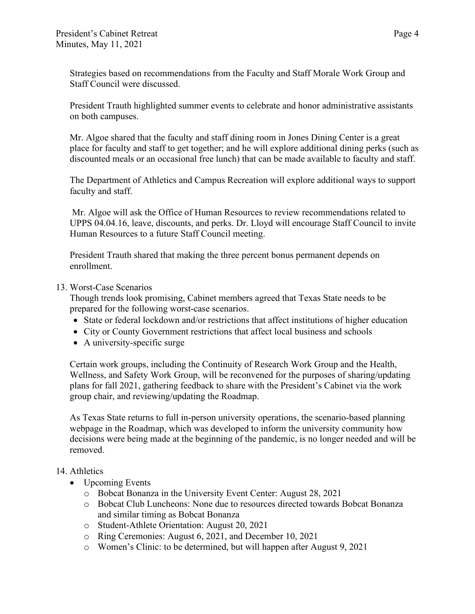Strategies based on recommendations from the Faculty and Staff Morale Work Group and Staff Council were discussed.

President Trauth highlighted summer events to celebrate and honor administrative assistants on both campuses.

Mr. Algoe shared that the faculty and staff dining room in Jones Dining Center is a great place for faculty and staff to get together; and he will explore additional dining perks (such as discounted meals or an occasional free lunch) that can be made available to faculty and staff.

The Department of Athletics and Campus Recreation will explore additional ways to support faculty and staff.

Mr. Algoe will ask the Office of Human Resources to review recommendations related to UPPS 04.04.16, leave, discounts, and perks. Dr. Lloyd will encourage Staff Council to invite Human Resources to a future Staff Council meeting.

President Trauth shared that making the three percent bonus permanent depends on enrollment.

13. Worst-Case Scenarios

Though trends look promising, Cabinet members agreed that Texas State needs to be prepared for the following worst-case scenarios.

- State or federal lockdown and/or restrictions that affect institutions of higher education
- City or County Government restrictions that affect local business and schools
- A university-specific surge

Certain work groups, including the Continuity of Research Work Group and the Health, Wellness, and Safety Work Group, will be reconvened for the purposes of sharing/updating plans for fall 2021, gathering feedback to share with the President's Cabinet via the work group chair, and reviewing/updating the Roadmap.

As Texas State returns to full in-person university operations, the scenario-based planning webpage in the Roadmap, which was developed to inform the university community how decisions were being made at the beginning of the pandemic, is no longer needed and will be removed.

### 14. Athletics

- Upcoming Events
	- o Bobcat Bonanza in the University Event Center: August 28, 2021
	- o Bobcat Club Luncheons: None due to resources directed towards Bobcat Bonanza and similar timing as Bobcat Bonanza
	- o Student-Athlete Orientation: August 20, 2021
	- o Ring Ceremonies: August 6, 2021, and December 10, 2021
	- o Women's Clinic: to be determined, but will happen after August 9, 2021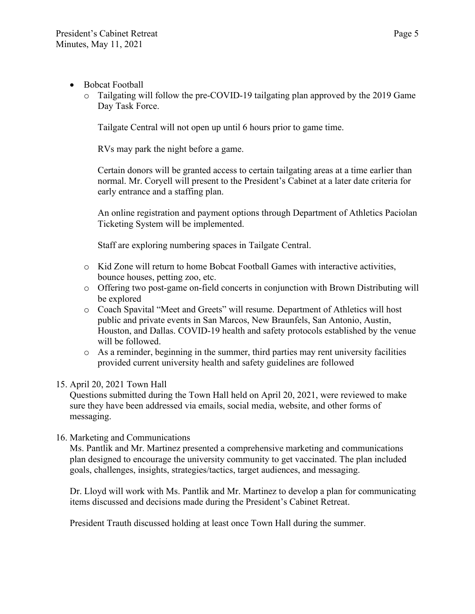- Bobcat Football
	- $\circ$  Tailgating will follow the pre-COVID-19 tailgating plan approved by the 2019 Game Day Task Force.

Tailgate Central will not open up until 6 hours prior to game time.

RVs may park the night before a game.

Certain donors will be granted access to certain tailgating areas at a time earlier than normal. Mr. Coryell will present to the President's Cabinet at a later date criteria for early entrance and a staffing plan.

An online registration and payment options through Department of Athletics Paciolan Ticketing System will be implemented.

Staff are exploring numbering spaces in Tailgate Central.

- o Kid Zone will return to home Bobcat Football Games with interactive activities, bounce houses, petting zoo, etc.
- o Offering two post-game on-field concerts in conjunction with Brown Distributing will be explored
- o Coach Spavital "Meet and Greets" will resume. Department of Athletics will host public and private events in San Marcos, New Braunfels, San Antonio, Austin, Houston, and Dallas. COVID-19 health and safety protocols established by the venue will be followed.
- o As a reminder, beginning in the summer, third parties may rent university facilities provided current university health and safety guidelines are followed

# 15. April 20, 2021 Town Hall

Questions submitted during the Town Hall held on April 20, 2021, were reviewed to make sure they have been addressed via emails, social media, website, and other forms of messaging.

16. Marketing and Communications

Ms. Pantlik and Mr. Martinez presented a comprehensive marketing and communications plan designed to encourage the university community to get vaccinated. The plan included goals, challenges, insights, strategies/tactics, target audiences, and messaging.

Dr. Lloyd will work with Ms. Pantlik and Mr. Martinez to develop a plan for communicating items discussed and decisions made during the President's Cabinet Retreat.

President Trauth discussed holding at least once Town Hall during the summer.